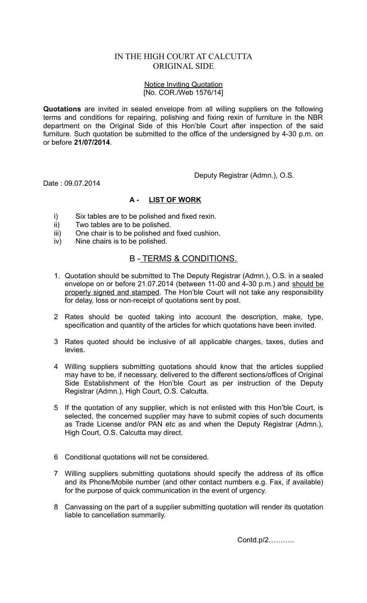## IN THE HIGH COURT AT CALCUTTA ORIGINAL SIDE

## Notice Inviting Quotation [No. COR./Web 1576/14]

**Quotations** are invited in sealed envelope from all willing suppliers on the following terms and conditions for repairing, polishing and fixing rexin of furniture in the NBR department on the Original Side of this Hon'ble Court after inspection of the said furniture. Such quotation be submitted to the office of the undersigned by 4-30 p.m. on or before **21/07/2014**.

Deputy Registrar (Admn.), O.S.

Date : 09.07.2014

## **A - LIST OF WORK**

- i) Six tables are to be polished and fixed rexin.
- ii) Two tables are to be polished.
- iii) One chair is to be polished and fixed cushion.
- iv) Nine chairs is to be polished.

## B - TERMS & CONDITIONS.

- 1. Quotation should be submitted to The Deputy Registrar (Admn.), O.S. in a sealed envelope on or before 21.07.2014 (between 11-00 and 4-30 p.m.) and should be properly signed and stamped. The Hon'ble Court will not take any responsibility for delay, loss or non-receipt of quotations sent by post.
- 2 Rates should be quoted taking into account the description, make, type, specification and quantity of the articles for which quotations have been invited.
- 3 Rates quoted should be inclusive of all applicable charges, taxes, duties and levies.
- 4 Willing suppliers submitting quotations should know that the articles supplied may have to be, if necessary, delivered to the different sections/offices of Original Side Establishment of the Hon'ble Court as per instruction of the Deputy Registrar (Admn.), High Court, O.S. Calcutta.
- 5 If the quotation of any supplier, which is not enlisted with this Hon'ble Court, is selected, the concerned supplier may have to submit copies of such documents as Trade License and/or PAN etc as and when the Deputy Registrar (Admn.), High Court, O.S. Calcutta may direct.
- 6 Conditional quotations will not be considered.
- 7 Willing suppliers submitting quotations should specify the address of its office and its Phone/Mobile number (and other contact numbers e.g. Fax, if available) for the purpose of quick communication in the event of urgency.
- 8 Canvassing on the part of a supplier submitting quotation will render its quotation liable to cancellation summarily.

Contd.p/2………..